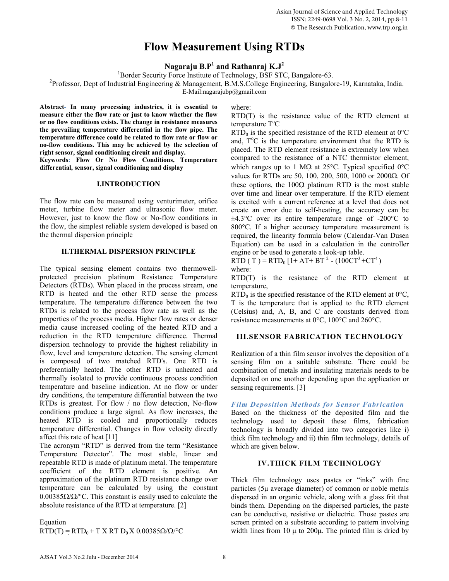# **Flow Measurement Using RTDs**

**Nagaraju B.P<sup>1</sup> and Rathanraj K.J<sup>2</sup>**

<sup>1</sup>Border Security Force Institute of Technology, BSF STC, Bangalore-63.<br><sup>2</sup>Professor, Dont of Industrial Engineering & Managament, B.M.S. Collage Engineering, Bangalor

Professor, Dept of Industrial Engineering & Management, B.M.S.College Engineering, Bangalore-19, Karnataka, India.

E-Mail:nagarajubp@gmail.com

**Abstract- In many processing industries, it is essential to measure either the flow rate or just to know whether the flow or no flow conditions exists. The change in resistance measures the prevailing temperature differential in the flow pipe. The temperature difference could be related to flow rate or flow or no-flow conditions. This may be achieved by the selection of right sensor, signal conditioning circuit and display.** 

**Keywords: Flow Or No Flow Conditions, Temperature differential, sensor, signal conditioning and display**

### **I.INTRODUCTION**

The flow rate can be measured using venturimeter, orifice meter, turbine flow meter and ultrasonic flow meter. However, just to know the flow or No-flow conditions in the flow, the simplest reliable system developed is based on the thermal dispersion principle

## **II.THERMAL DISPERSION PRINCIPLE**

The typical sensing element contains two thermowellprotected precision platinum Resistance Temperature Detectors (RTDs). When placed in the process stream, one RTD is heated and the other RTD sense the process temperature. The temperature difference between the two RTDs is related to the process flow rate as well as the properties of the process media. Higher flow rates or denser media cause increased cooling of the heated RTD and a reduction in the RTD temperature difference. Thermal dispersion technology to provide the highest reliability in flow, level and temperature detection. The sensing element is composed of two matched RTD's. One RTD is preferentially heated. The other RTD is unheated and thermally isolated to provide continuous process condition temperature and baseline indication. At no flow or under dry conditions, the temperature differential between the two RTDs is greatest. For flow / no flow detection, No-flow conditions produce a large signal. As flow increases, the heated RTD is cooled and proportionally reduces temperature differential. Changes in flow velocity directly affect this rate of heat [11]

The acronym "RTD" is derived from the term "Resistance Temperature Detector". The most stable, linear and repeatable RTD is made of platinum metal. The temperature coefficient of the RTD element is positive. An approximation of the platinum RTD resistance change over temperature can be calculated by using the constant  $0.00385\Omega/\Omega$ <sup>o</sup>C. This constant is easily used to calculate the absolute resistance of the RTD at temperature. [2]

Equation

 $RTD(T) = RTD_0 + T X RT D_0 X 0.00385\Omega/\Omega$ <sup>o</sup>C

where:

RTD(T) is the resistance value of the RTD element at temperature T<sup>o</sup>C

 $RTD_0$  is the specified resistance of the RTD element at  $0^{\circ}C$ and, T°C is the temperature environment that the RTD is placed. The RTD element resistance is extremely low when compared to the resistance of a NTC thermistor element, which ranges up to 1 MQ at 25 $^{\circ}$ C. Typical specified 0 $^{\circ}$ C values for RTDs are 50, 100, 200, 500, 1000 or 2000 $\Omega$ . Of these options, the  $100\Omega$  platinum RTD is the most stable over time and linear over temperature. If the RTD element is excited with a current reference at a level that does not create an error due to self-heating, the accuracy can be  $\pm 4.3^{\circ}$ C over its entire temperature range of -200 $^{\circ}$ C to 800°C. If a higher accuracy temperature measurement is required, the linearity formula below (Calendar-Van Dusen Equation) can be used in a calculation in the controller engine or be used to generate a look-up table.

RTD ( T ) =  $RTD_0$  [1+ AT+ BT<sup>2</sup> - (100CT<sup>3</sup> +CT<sup>4</sup>) where:

RTD(T) is the resistance of the RTD element at temperature,

 $RTD_0$  is the specified resistance of the RTD element at  $0^{\circ}C$ , T is the temperature that is applied to the RTD element (Celsius) and, A, B, and C are constants derived from resistance measurements at 0°C, 100°C and 260°C.

# **III.SENSOR FABRICATION TECHNOLOGY**

Realization of a thin film sensor involves the deposition of a sensing film on a suitable substrate. There could be combination of metals and insulating materials needs to be deposited on one another depending upon the application or sensing requirements. [3]

# *Film Deposition Methods for Sensor Fabrication*

Based on the thickness of the deposited film and the technology used to deposit these films, fabrication technology is broadly divided into two categories like i) thick film technology and ii) thin film technology, details of which are given below.

# **IV.THICK FILM TECHNOLOGY**

Thick film technology uses pastes or "inks" with fine particles (5μ average diameter) of common or noble metals dispersed in an organic vehicle, along with a glass frit that binds them. Depending on the dispersed particles, the paste can be conductive, resistive or dielectric. Those pastes are screen printed on a substrate according to pattern involving width lines from 10  $\mu$  to 200 $\mu$ . The printed film is dried by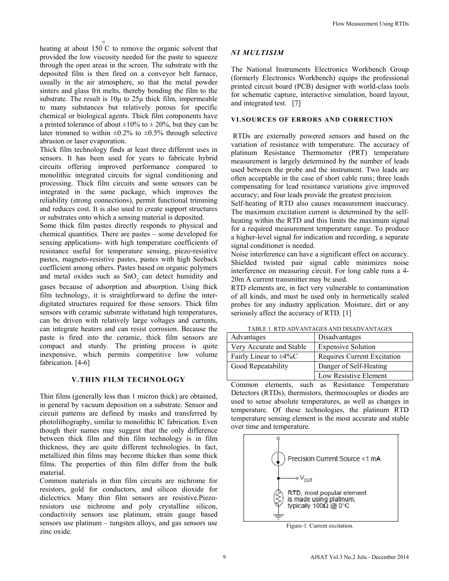heating at about 150 C to remove the organic solvent that o provided the low viscosity needed for the paste to squeeze through the open areas in the screen. The substrate with the deposited film is then fired on a conveyor belt furnace, usually in the air atmosphere, so that the metal powder sinters and glass frit melts, thereby bonding the film to the substrate. The result is 10μ to 25μ thick film, impermeable to many substances but relatively porous for specific chemical or biological agents. Thick film components have a printed tolerance of about  $\pm 10\%$  to  $\pm 20\%$ , but they can be later trimmed to within  $\pm 0.2\%$  to  $\pm 0.5\%$  through selective abrasion or laser evaporation.

Thick film technology finds at least three different uses in sensors. It has been used for years to fabricate hybrid circuits offering improved performance compared to monolithic integrated circuits for signal conditioning and processing. Thick film circuits and some sensors can be integrated in the same package, which improves the reliability (strong connections), permit functional trimming and reduces cost. It is also used to create support structures or substrates onto which a sensing material is deposited.

Some thick film pastes directly responds to physical and chemical quantities. There are pastes – some developed for sensing applications- with high temperature coefficients of resistance useful for temperature sensing, piezo-resistive pastes, magneto-resistive pastes, pastes with high Seeback coefficient among others. Pastes based on organic polymers and metal oxides such as SnO<sub>2</sub> can detect humidity and gases because of adsorption and absorption. Using thick film technology, it is straightforward to define the interdigitated structures required for those sensors. Thick film sensors with ceramic substrate withstand high temperatures, can be driven with relatively large voltages and currents, can integrate heaters and can resist corrosion. Because the paste is fired into the ceramic, thick film sensors are compact and sturdy. The printing process is quite inexpensive, which permits competitive low volume fabrication. [4-6]

### **V.THIN FILM TECHNOLOGY**

Thin films (generally less than 1 micron thick) are obtained, in general by vacuum deposition on a substrate. Sensor and circuit patterns are defined by masks and transferred by photolithography, similar to monolithic IC fabrication. Even though their names may suggest that the only difference between thick film and thin film technology is in film thickness, they are quite different technologies. In fact, metallized thin films may become thicker than some thick films. The properties of thin film differ from the bulk material.

Common materials in thin film circuits are nichrome for resistors, gold for conductors, and silicon dioxide for dielectrics. Many thin film sensors are resistive.Piezoresistors use nichrome and poly crystalline silicon, conductivity sensors use platinum, strain gauge based sensors use platinum – tungsten alloys, and gas sensors use zinc oxide.

# *NI MULTISIM*

The National Instruments Electronics Workbench Group (formerly Electronics Workbench) equips the professional printed circuit board (PCB) designer with world-class tools for schematic capture, interactive simulation, board layout, and integrated test. [7]

### **VI.SOURCES OF ERRORS AND CORRECTION**

 RTDs are externally powered sensors and based on the variation of resistance with temperature. The accuracy of platinum Resistance Thermometer (PRT) temperature measurement is largely determined by the number of leads used between the probe and the instrument. Two leads are often acceptable in the case of short cable runs; three leads compensating for lead resistance variations give improved accuracy; and four leads provide the greatest precision.

Self-heating of RTD also causes measurement inaccuracy. The maximum excitation current is determined by the selfheating within the RTD and this limits the maximum signal for a required measurement temperature range. To produce a higher-level signal for indication and recording, a separate signal conditioner is needed.

Noise interference can have a significant effect on accuracy. Shielded twisted pair signal cable minimizes noise interference on measuring circuit. For long cable runs a 4- 20m A current transmitter may be used.

RTD elements are, in fact very vulnerable to contamination of all kinds, and must be used only in hermetically sealed probes for any industry application. Moisture, dirt or any seriously affect the accuracy of RTD. [1]

| TABLE T. KTD ADVANTAGES AND DISADVANTAGES |                                    |
|-------------------------------------------|------------------------------------|
| Advantages                                | Disadvantages                      |
| Very Accurate and Stable                  | <b>Expensive Solution</b>          |
| Fairly Linear to $\pm 4\%$ C              | <b>Requires Current Excitation</b> |
| Good Repeatability                        | Danger of Self-Heating             |
|                                           | Low Resistive Element              |

TABLE 1. RTD ADVANTAGES AND DISADVANTAGES

Common elements, such as Resistance Temperature Detectors (RTDs), thermistors, thermocouples or diodes are used to sense absolute temperatures, as well as changes in temperature. Of these technologies, the platinum RTD temperature sensing element is the most accurate and stable over time and temperature.



Figure-1. Current excitation.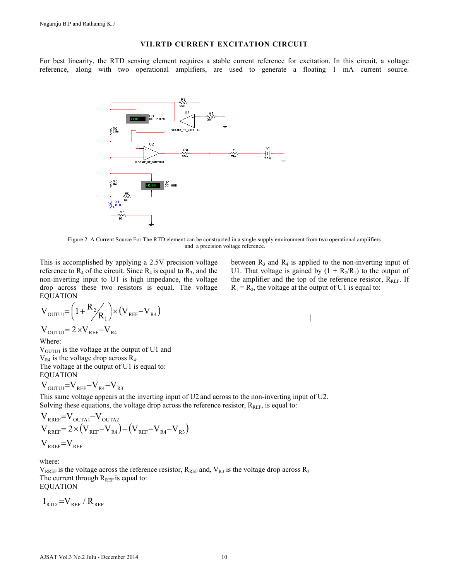### **VII.RTD CURRENT EXCITATION CIRCUIT**

For best linearity, the RTD sensing element requires a stable current reference for excitation. In this circuit, a voltage reference, along with two operational amplifiers, are used to generate a floating 1 mA current source.



Figure 2. A Current Source For The RTD element can be constructed in a single-supply environment from two operational amplifiers and a precision voltage reference.

This is accomplished by applying a 2.5V precision voltage reference to  $R_4$  of the circuit. Since  $R_4$  is equal to  $R_3$ , and the non-inverting input to U1 is high impedance, the voltage drop across these two resistors is equal. The voltage EQUATION

$$
V_{\text{OUTUI}} = \left(1 + \frac{R_2}{R_1}\right) \times \left(V_{\text{REF}} - V_{\text{R4}}\right)
$$
  

$$
V_{\text{OUTUI}} = 2 \times V_{\text{REF}} - V_{\text{R4}}
$$

Where:

 $V<sub>OUTU1</sub>$  is the voltage at the output of U1 and  $V_{R4}$  is the voltage drop across  $R_4$ . The voltage at the output of U1 is equal to: EQUATION

 $V_{\text{OUTU1}} = V_{\text{REF}} - V_{\text{R4}} - V_{\text{R3}}$ 

This same voltage appears at the inverting input of U2 and across to the non-inverting input of U2. Solving these equations, the voltage drop across the reference resistor,  $R_{REF}$ , is equal to:

$$
\begin{aligned} &\boldsymbol{V}_{\text{RREF}}\!\!=\!\boldsymbol{V}_{\text{OUTA1}}\!\!-\!\boldsymbol{V}_{\text{OUTA2}}\\ &\boldsymbol{V}_{\text{RREF}}\!\!=\!2\!\times\!\left(\boldsymbol{V}_{\text{REF}}\!\!-\!\boldsymbol{V}_{\text{R4}}\right)\!\!-\!\left(\boldsymbol{V}_{\text{REF}}\!\!-\!\boldsymbol{V}_{\text{R4}}\!\!-\!\boldsymbol{V}_{\text{R3}}\right)\\ &\boldsymbol{V}_{\text{RREF}}\!\!=\!\boldsymbol{V}_{\text{REF}}\label{eq:VRFEF} \end{aligned}
$$

where:

 $V_{RREF}$  is the voltage across the reference resistor,  $R_{REF}$  and,  $V_{R3}$  is the voltage drop across  $R_3$ The current through  $R_{REF}$  is equal to: EQUATION

 $I_{\text{RTD}} = V_{\text{REF}} / R_{\text{REF}}$ 

between  $R_3$  and  $R_4$  is applied to the non-inverting input of U1. That voltage is gained by  $(1 + R_2/R_1)$  to the output of the amplifier and the top of the reference resistor,  $R_{REF}$ . If  $R_1 = R_2$ , the voltage at the output of U1 is equal to:

 $\overline{\phantom{a}}$